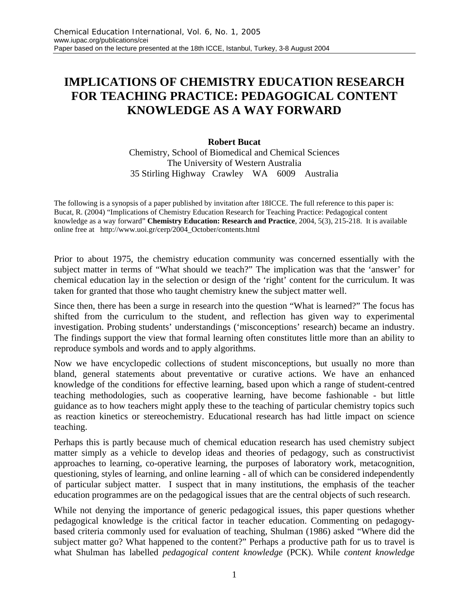## **IMPLICATIONS OF CHEMISTRY EDUCATION RESEARCH FOR TEACHING PRACTICE: PEDAGOGICAL CONTENT KNOWLEDGE AS A WAY FORWARD**

## **Robert Bucat**

Chemistry, School of Biomedical and Chemical Sciences The University of Western Australia 35 Stirling Highway Crawley WA 6009 Australia

The following is a synopsis of a paper published by invitation after 18ICCE. The full reference to this paper is: Bucat, R. (2004) "Implications of Chemistry Education Research for Teaching Practice: Pedagogical content knowledge as a way forward" **Chemistry Education: Research and Practice**, 2004, 5(3), 215-218. It is available online free at http://www.uoi.gr/cerp/2004\_October/contents.html

Prior to about 1975, the chemistry education community was concerned essentially with the subject matter in terms of "What should we teach?" The implication was that the 'answer' for chemical education lay in the selection or design of the 'right' content for the curriculum. It was taken for granted that those who taught chemistry knew the subject matter well.

Since then, there has been a surge in research into the question "What is learned?" The focus has shifted from the curriculum to the student, and reflection has given way to experimental investigation. Probing students' understandings ('misconceptions' research) became an industry. The findings support the view that formal learning often constitutes little more than an ability to reproduce symbols and words and to apply algorithms.

Now we have encyclopedic collections of student misconceptions, but usually no more than bland, general statements about preventative or curative actions. We have an enhanced knowledge of the conditions for effective learning, based upon which a range of student-centred teaching methodologies, such as cooperative learning, have become fashionable - but little guidance as to how teachers might apply these to the teaching of particular chemistry topics such as reaction kinetics or stereochemistry. Educational research has had little impact on science teaching.

Perhaps this is partly because much of chemical education research has used chemistry subject matter simply as a vehicle to develop ideas and theories of pedagogy, such as constructivist approaches to learning, co-operative learning, the purposes of laboratory work, metacognition, questioning, styles of learning, and online learning - all of which can be considered independently of particular subject matter. I suspect that in many institutions, the emphasis of the teacher education programmes are on the pedagogical issues that are the central objects of such research.

While not denying the importance of generic pedagogical issues, this paper questions whether pedagogical knowledge is the critical factor in teacher education. Commenting on pedagogybased criteria commonly used for evaluation of teaching, Shulman (1986) asked "Where did the subject matter go? What happened to the content?" Perhaps a productive path for us to travel is what Shulman has labelled *pedagogical content knowledge* (PCK). While *content knowledge*